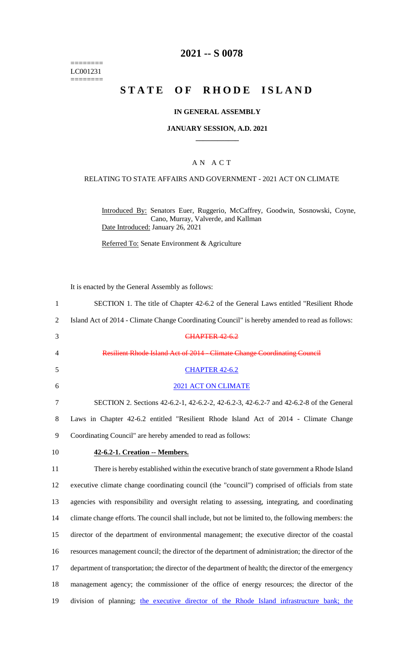======== LC001231  $=$ 

### **2021 -- S 0078**

# **STATE OF RHODE ISLAND**

### **IN GENERAL ASSEMBLY**

#### **JANUARY SESSION, A.D. 2021 \_\_\_\_\_\_\_\_\_\_\_\_**

### A N A C T

#### RELATING TO STATE AFFAIRS AND GOVERNMENT - 2021 ACT ON CLIMATE

Introduced By: Senators Euer, Ruggerio, McCaffrey, Goodwin, Sosnowski, Coyne, Cano, Murray, Valverde, and Kallman Date Introduced: January 26, 2021

Referred To: Senate Environment & Agriculture

It is enacted by the General Assembly as follows:

| $\mathbf{1}$   | SECTION 1. The title of Chapter 42-6.2 of the General Laws entitled "Resilient Rhode                  |
|----------------|-------------------------------------------------------------------------------------------------------|
| $\overline{2}$ | Island Act of 2014 - Climate Change Coordinating Council" is hereby amended to read as follows:       |
| 3              | <b>CHAPTER 42-6.2</b>                                                                                 |
| $\overline{4}$ | Resilient Rhode Island Act of 2014 - Climate Change Coordinating Council                              |
| 5              | <b>CHAPTER 42-6.2</b>                                                                                 |
| 6              | 2021 ACT ON CLIMATE                                                                                   |
| 7              | SECTION 2. Sections 42-6.2-1, 42-6.2-2, 42-6.2-3, 42-6.2-7 and 42-6.2-8 of the General                |
| 8              | Laws in Chapter 42-6.2 entitled "Resilient Rhode Island Act of 2014 - Climate Change                  |
| 9              | Coordinating Council" are hereby amended to read as follows:                                          |
| 10             | 42-6.2-1. Creation -- Members.                                                                        |
| 11             | There is hereby established within the executive branch of state government a Rhode Island            |
| 12             | executive climate change coordinating council (the "council") comprised of officials from state       |
| 13             | agencies with responsibility and oversight relating to assessing, integrating, and coordinating       |
| 14             | climate change efforts. The council shall include, but not be limited to, the following members: the  |
| 15             | director of the department of environmental management; the executive director of the coastal         |
| 16             | resources management council; the director of the department of administration; the director of the   |
| 17             | department of transportation; the director of the department of health; the director of the emergency |
| 18             | management agency; the commissioner of the office of energy resources; the director of the            |
| 19             | division of planning; the executive director of the Rhode Island infrastructure bank; the             |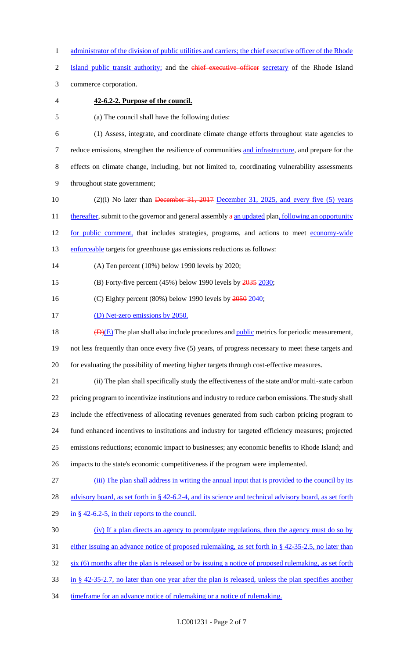1 administrator of the division of public utilities and carriers; the chief executive officer of the Rhode

2 Island public transit authority; and the chief executive officer secretary of the Rhode Island

3 commerce corporation.

### 4 **42-6.2-2. Purpose of the council.**

5 (a) The council shall have the following duties:

 (1) Assess, integrate, and coordinate climate change efforts throughout state agencies to 7 reduce emissions, strengthen the resilience of communities and infrastructure, and prepare for the effects on climate change, including, but not limited to, coordinating vulnerability assessments throughout state government;

10 (2)(i) No later than December 31, 2017 December 31, 2025, and every five (5) years 11 thereafter, submit to the governor and general assembly a an updated plan, following an opportunity 12 for public comment, that includes strategies, programs, and actions to meet economy-wide 13 enforceable targets for greenhouse gas emissions reductions as follows:

14 (A) Ten percent (10%) below 1990 levels by 2020;

15 (B) Forty-five percent (45%) below 1990 levels by  $\frac{2035}{2030}$ ;

16 (C) Eighty percent (80%) below 1990 levels by  $\frac{2050}{2040}$ ;

17 (D) Net-zero emissions by 2050.

18  $\left(\frac{D}{E}\right)$  The plan shall also include procedures and <u>public</u> metrics for periodic measurement,

19 not less frequently than once every five (5) years, of progress necessary to meet these targets and 20 for evaluating the possibility of meeting higher targets through cost-effective measures.

21 (ii) The plan shall specifically study the effectiveness of the state and/or multi-state carbon 22 pricing program to incentivize institutions and industry to reduce carbon emissions. The study shall 23 include the effectiveness of allocating revenues generated from such carbon pricing program to

24 fund enhanced incentives to institutions and industry for targeted efficiency measures; projected

25 emissions reductions; economic impact to businesses; any economic benefits to Rhode Island; and

26 impacts to the state's economic competitiveness if the program were implemented.

27 (iii) The plan shall address in writing the annual input that is provided to the council by its

28 advisory board, as set forth in § 42-6.2-4, and its science and technical advisory board, as set forth

29 in  $\S$  42-6.2-5, in their reports to the council.

30 (iv) If a plan directs an agency to promulgate regulations, then the agency must do so by

31 either issuing an advance notice of proposed rulemaking, as set forth in § 42-35-2.5, no later than

32 six (6) months after the plan is released or by issuing a notice of proposed rulemaking, as set forth

33 in § 42-35-2.7, no later than one year after the plan is released, unless the plan specifies another

34 timeframe for an advance notice of rulemaking or a notice of rulemaking.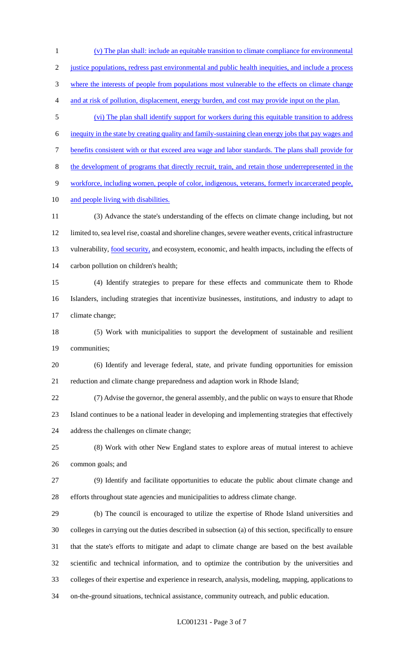(v) The plan shall: include an equitable transition to climate compliance for environmental justice populations, redress past environmental and public health inequities, and include a process 3 where the interests of people from populations most vulnerable to the effects on climate change and at risk of pollution, displacement, energy burden, and cost may provide input on the plan. (vi) The plan shall identify support for workers during this equitable transition to address inequity in the state by creating quality and family-sustaining clean energy jobs that pay wages and benefits consistent with or that exceed area wage and labor standards. The plans shall provide for the development of programs that directly recruit, train, and retain those underrepresented in the workforce, including women, people of color, indigenous, veterans, formerly incarcerated people, 10 and people living with disabilities. (3) Advance the state's understanding of the effects on climate change including, but not limited to, sea level rise, coastal and shoreline changes, severe weather events, critical infrastructure 13 vulnerability, food security, and ecosystem, economic, and health impacts, including the effects of carbon pollution on children's health; (4) Identify strategies to prepare for these effects and communicate them to Rhode Islanders, including strategies that incentivize businesses, institutions, and industry to adapt to climate change; (5) Work with municipalities to support the development of sustainable and resilient communities; (6) Identify and leverage federal, state, and private funding opportunities for emission reduction and climate change preparedness and adaption work in Rhode Island; (7) Advise the governor, the general assembly, and the public on ways to ensure that Rhode Island continues to be a national leader in developing and implementing strategies that effectively address the challenges on climate change; (8) Work with other New England states to explore areas of mutual interest to achieve common goals; and (9) Identify and facilitate opportunities to educate the public about climate change and efforts throughout state agencies and municipalities to address climate change. (b) The council is encouraged to utilize the expertise of Rhode Island universities and colleges in carrying out the duties described in subsection (a) of this section, specifically to ensure that the state's efforts to mitigate and adapt to climate change are based on the best available scientific and technical information, and to optimize the contribution by the universities and colleges of their expertise and experience in research, analysis, modeling, mapping, applications to on-the-ground situations, technical assistance, community outreach, and public education.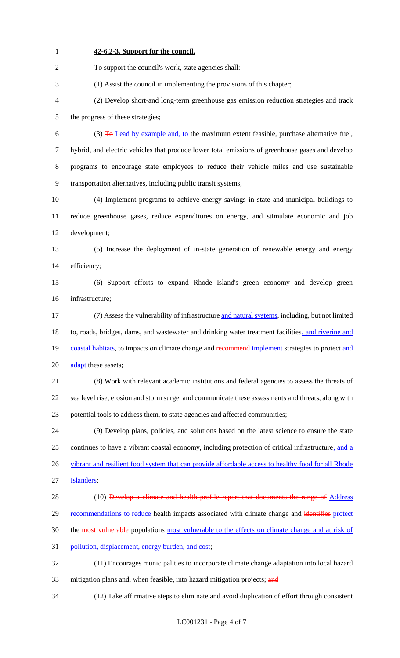To support the council's work, state agencies shall: (1) Assist the council in implementing the provisions of this chapter; (2) Develop short-and long-term greenhouse gas emission reduction strategies and track the progress of these strategies; 6 (3)  $\overline{4}$  Lead by example and, to the maximum extent feasible, purchase alternative fuel, hybrid, and electric vehicles that produce lower total emissions of greenhouse gases and develop programs to encourage state employees to reduce their vehicle miles and use sustainable transportation alternatives, including public transit systems; (4) Implement programs to achieve energy savings in state and municipal buildings to reduce greenhouse gases, reduce expenditures on energy, and stimulate economic and job development; (5) Increase the deployment of in-state generation of renewable energy and energy efficiency; (6) Support efforts to expand Rhode Island's green economy and develop green infrastructure; (7) Assess the vulnerability of infrastructure and natural systems, including, but not limited 18 to, roads, bridges, dams, and wastewater and drinking water treatment facilities, and riverine and 19 coastal habitats, to impacts on climate change and recommend implement strategies to protect and 20 adapt these assets; (8) Work with relevant academic institutions and federal agencies to assess the threats of sea level rise, erosion and storm surge, and communicate these assessments and threats, along with potential tools to address them, to state agencies and affected communities; (9) Develop plans, policies, and solutions based on the latest science to ensure the state continues to have a vibrant coastal economy, including protection of critical infrastructure, and a 26 vibrant and resilient food system that can provide affordable access to healthy food for all Rhode Islanders; 28 (10) Develop a climate and health profile report that documents the range of Address 29 recommendations to reduce health impacts associated with climate change and identifies protect 30 the most vulnerable populations most vulnerable to the effects on climate change and at risk of pollution, displacement, energy burden, and cost; (11) Encourages municipalities to incorporate climate change adaptation into local hazard 33 mitigation plans and, when feasible, into hazard mitigation projects; and (12) Take affirmative steps to eliminate and avoid duplication of effort through consistent

**42-6.2-3. Support for the council.**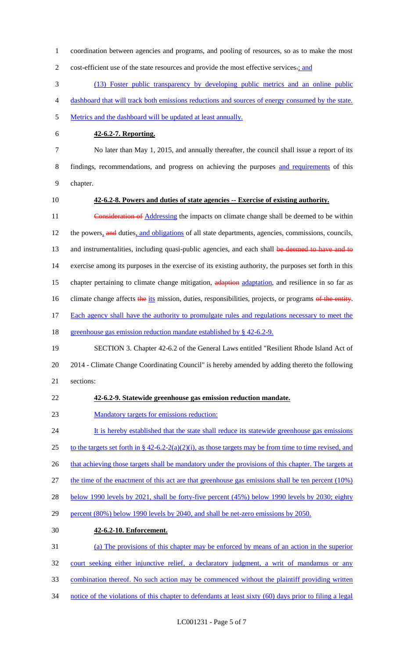1 coordination between agencies and programs, and pooling of resources, so as to make the most 2 cost-efficient use of the state resources and provide the most effective services.; and 3 (13) Foster public transparency by developing public metrics and an online public 4 dashboard that will track both emissions reductions and sources of energy consumed by the state. 5 Metrics and the dashboard will be updated at least annually. 6 **42-6.2-7. Reporting.** 7 No later than May 1, 2015, and annually thereafter, the council shall issue a report of its 8 findings, recommendations, and progress on achieving the purposes and requirements of this 9 chapter. 10 **42-6.2-8. Powers and duties of state agencies -- Exercise of existing authority.** 11 Consideration of Addressing the impacts on climate change shall be deemed to be within 12 the powers, and duties, and obligations of all state departments, agencies, commissions, councils, 13 and instrumentalities, including quasi-public agencies, and each shall be deemed to have and to 14 exercise among its purposes in the exercise of its existing authority, the purposes set forth in this 15 chapter pertaining to climate change mitigation, adaption adaptation, and resilience in so far as 16 climate change affects the its mission, duties, responsibilities, projects, or programs of the entity. 17 Each agency shall have the authority to promulgate rules and regulations necessary to meet the 18 greenhouse gas emission reduction mandate established by § 42-6.2-9. 19 SECTION 3. Chapter 42-6.2 of the General Laws entitled "Resilient Rhode Island Act of 20 2014 - Climate Change Coordinating Council" is hereby amended by adding thereto the following 21 sections: 22 **42-6.2-9. Statewide greenhouse gas emission reduction mandate.** 23 Mandatory targets for emissions reduction: 24 It is hereby established that the state shall reduce its statewide greenhouse gas emissions 25 to the targets set forth in  $\S 42-6.2-2(a)(2)(i)$ , as those targets may be from time to time revised, and 26 that achieving those targets shall be mandatory under the provisions of this chapter. The targets at 27 the time of the enactment of this act are that greenhouse gas emissions shall be ten percent (10%) 28 below 1990 levels by 2021, shall be forty-five percent (45%) below 1990 levels by 2030; eighty 29 percent (80%) below 1990 levels by 2040, and shall be net-zero emissions by 2050. 30 **42-6.2-10. Enforcement.** 31 (a) The provisions of this chapter may be enforced by means of an action in the superior 32 court seeking either injunctive relief, a declaratory judgment, a writ of mandamus or any 33 combination thereof. No such action may be commenced without the plaintiff providing written 34 notice of the violations of this chapter to defendants at least sixty (60) days prior to filing a legal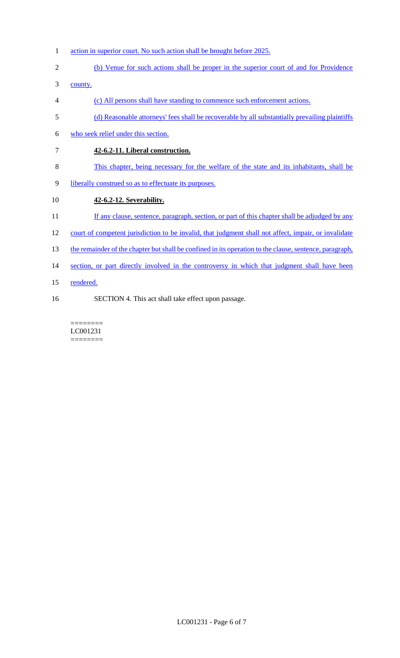- 1 action in superior court. No such action shall be brought before 2025.
- 2 (b) Venue for such actions shall be proper in the superior court of and for Providence

3 county.

- 4 (c) All persons shall have standing to commence such enforcement actions.
- 5 (d) Reasonable attorneys' fees shall be recoverable by all substantially prevailing plaintiffs
- 6 who seek relief under this section.
- 7 **42-6.2-11. Liberal construction.**
- 8 This chapter, being necessary for the welfare of the state and its inhabitants, shall be
- 9 liberally construed so as to effectuate its purposes.

### 10 **42-6.2-12. Severability.**

- 11 If any clause, sentence, paragraph, section, or part of this chapter shall be adjudged by any
- 12 court of competent jurisdiction to be invalid, that judgment shall not affect, impair, or invalidate
- 13 the remainder of the chapter but shall be confined in its operation to the clause, sentence, paragraph,
- 14 section, or part directly involved in the controversy in which that judgment shall have been
- 15 rendered.
- 16 SECTION 4. This act shall take effect upon passage.

======== LC001231 ========